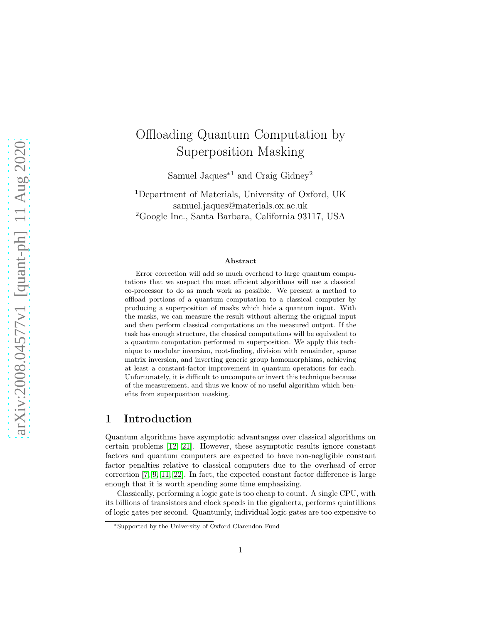# Offloading Quantum Computation by Superposition Masking

Samuel Jaques<sup>∗</sup><sup>1</sup> and Craig Gidney<sup>2</sup>

<sup>1</sup>Department of Materials, University of Oxford, UK samuel.jaques@materials.ox.ac.uk <sup>2</sup>Google Inc., Santa Barbara, California 93117, USA

#### Abstract

Error correction will add so much overhead to large quantum computations that we suspect the most efficient algorithms will use a classical co-processor to do as much work as possible. We present a method to offload portions of a quantum computation to a classical computer by producing a superposition of masks which hide a quantum input. With the masks, we can measure the result without altering the original input and then perform classical computations on the measured output. If the task has enough structure, the classical computations will be equivalent to a quantum computation performed in superposition. We apply this technique to modular inversion, root-finding, division with remainder, sparse matrix inversion, and inverting generic group homomorphisms, achieving at least a constant-factor improvement in quantum operations for each. Unfortunately, it is difficult to uncompute or invert this technique because of the measurement, and thus we know of no useful algorithm which benefits from superposition masking.

## 1 Introduction

Quantum algorithms have asymptotic advantanges over classical algorithms on certain problems [\[12,](#page-9-0) [21\]](#page-10-0). However, these asymptotic results ignore constant factors and quantum computers are expected to have non-negligible constant factor penalties relative to classical computers due to the overhead of error correction [\[7,](#page-9-1) [9,](#page-9-2) [11,](#page-9-3) [22\]](#page-10-1). In fact, the expected constant factor difference is large enough that it is worth spending some time emphasizing.

Classically, performing a logic gate is too cheap to count. A single CPU, with its billions of transistors and clock speeds in the gigahertz, performs quintillions of logic gates per second. Quantumly, individual logic gates are too expensive to

<sup>∗</sup>Supported by the University of Oxford Clarendon Fund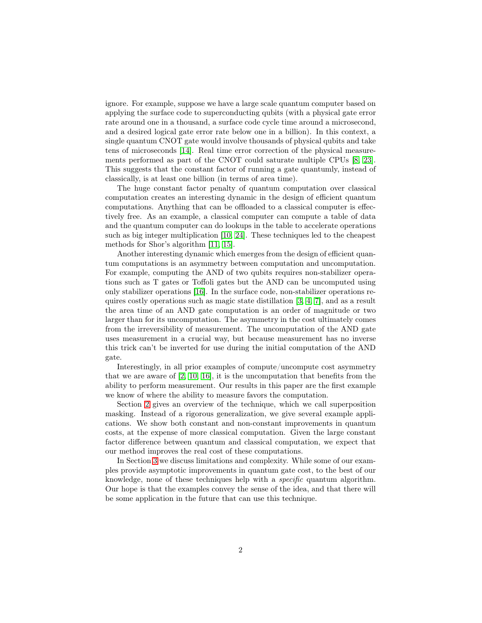ignore. For example, suppose we have a large scale quantum computer based on applying the surface code to superconducting qubits (with a physical gate error rate around one in a thousand, a surface code cycle time around a microsecond, and a desired logical gate error rate below one in a billion). In this context, a single quantum CNOT gate would involve thousands of physical qubits and take tens of microseconds [\[14\]](#page-9-4). Real time error correction of the physical measurements performed as part of the CNOT could saturate multiple CPUs [\[8,](#page-9-5) [23\]](#page-10-2). This suggests that the constant factor of running a gate quantumly, instead of classically, is at least one billion (in terms of area time).

The huge constant factor penalty of quantum computation over classical computation creates an interesting dynamic in the design of efficient quantum computations. Anything that can be offloaded to a classical computer is effectively free. As an example, a classical computer can compute a table of data and the quantum computer can do lookups in the table to accelerate operations such as big integer multiplication [\[10,](#page-9-6) [24\]](#page-10-3). These techniques led to the cheapest methods for Shor's algorithm [\[11,](#page-9-3) [15\]](#page-9-7).

Another interesting dynamic which emerges from the design of efficient quantum computations is an asymmetry between computation and uncomputation. For example, computing the AND of two qubits requires non-stabilizer operations such as T gates or Toffoli gates but the AND can be uncomputed using only stabilizer operations [\[16\]](#page-9-8). In the surface code, non-stabilizer operations requires costly operations such as magic state distillation [\[3,](#page-9-9) [4,](#page-9-10) [7\]](#page-9-1), and as a result the area time of an AND gate computation is an order of magnitude or two larger than for its uncomputation. The asymmetry in the cost ultimately comes from the irreversibility of measurement. The uncomputation of the AND gate uses measurement in a crucial way, but because measurement has no inverse this trick can't be inverted for use during the initial computation of the AND gate.

Interestingly, in all prior examples of compute/uncompute cost asymmetry that we are aware of [\[2,](#page-8-0) [10,](#page-9-6) [16\]](#page-9-8), it is the uncomputation that benefits from the ability to perform measurement. Our results in this paper are the first example we know of where the ability to measure favors the computation.

Section [2](#page-2-0) gives an overview of the technique, which we call superposition masking. Instead of a rigorous generalization, we give several example applications. We show both constant and non-constant improvements in quantum costs, at the expense of more classical computation. Given the large constant factor difference between quantum and classical computation, we expect that our method improves the real cost of these computations.

In Section [3](#page-7-0) we discuss limitations and complexity. While some of our examples provide asymptotic improvements in quantum gate cost, to the best of our knowledge, none of these techniques help with a specific quantum algorithm. Our hope is that the examples convey the sense of the idea, and that there will be some application in the future that can use this technique.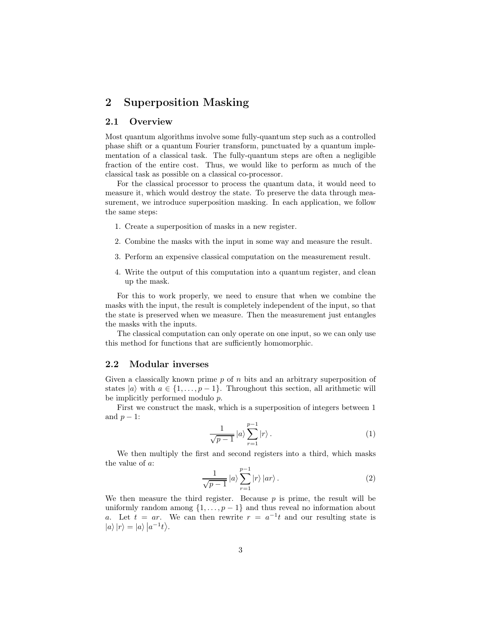# <span id="page-2-0"></span>2 Superposition Masking

#### 2.1 Overview

Most quantum algorithms involve some fully-quantum step such as a controlled phase shift or a quantum Fourier transform, punctuated by a quantum implementation of a classical task. The fully-quantum steps are often a negligible fraction of the entire cost. Thus, we would like to perform as much of the classical task as possible on a classical co-processor.

For the classical processor to process the quantum data, it would need to measure it, which would destroy the state. To preserve the data through measurement, we introduce superposition masking. In each application, we follow the same steps:

- 1. Create a superposition of masks in a new register.
- 2. Combine the masks with the input in some way and measure the result.
- 3. Perform an expensive classical computation on the measurement result.
- 4. Write the output of this computation into a quantum register, and clean up the mask.

For this to work properly, we need to ensure that when we combine the masks with the input, the result is completely independent of the input, so that the state is preserved when we measure. Then the measurement just entangles the masks with the inputs.

The classical computation can only operate on one input, so we can only use this method for functions that are sufficiently homomorphic.

#### <span id="page-2-1"></span>2.2 Modular inverses

Given a classically known prime  $p$  of  $n$  bits and an arbitrary superposition of states  $|a\rangle$  with  $a \in \{1, \ldots, p-1\}$ . Throughout this section, all arithmetic will be implicitly performed modulo p.

First we construct the mask, which is a superposition of integers between 1 and  $p-1$ :

$$
\frac{1}{\sqrt{p-1}} \left| a \right\rangle \sum_{r=1}^{p-1} \left| r \right\rangle. \tag{1}
$$

We then multiply the first and second registers into a third, which masks the value of a:

$$
\frac{1}{\sqrt{p-1}} \left| a \right\rangle \sum_{r=1}^{p-1} \left| r \right\rangle \left| ar \right\rangle. \tag{2}
$$

We then measure the third register. Because  $p$  is prime, the result will be uniformly random among  $\{1, \ldots, p-1\}$  and thus reveal no information about a. Let  $t = ar$ . We can then rewrite  $r = a^{-1}t$  and our resulting state is  $|a\rangle |r\rangle = |a\rangle |a^{-1}t\rangle.$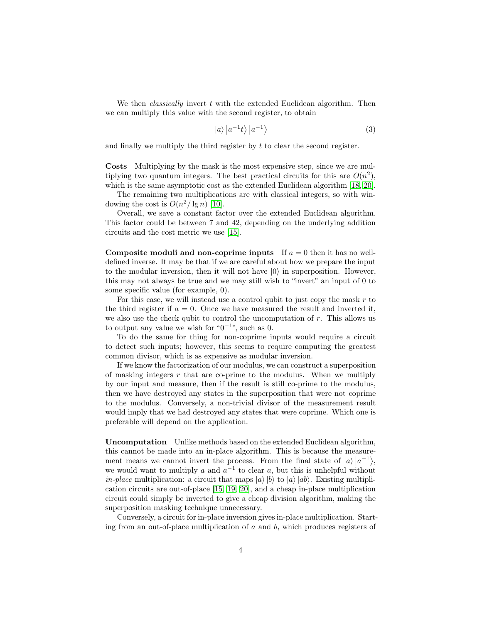We then *classically* invert  $t$  with the extended Euclidean algorithm. Then we can multiply this value with the second register, to obtain

$$
|a\rangle |a^{-1}t\rangle |a^{-1}\rangle \tag{3}
$$

and finally we multiply the third register by  $t$  to clear the second register.

Costs Multiplying by the mask is the most expensive step, since we are multiplying two quantum integers. The best practical circuits for this are  $O(n^2)$ , which is the same asymptotic cost as the extended Euclidean algorithm [\[18,](#page-10-4) [20\]](#page-10-5).

The remaining two multiplications are with classical integers, so with windowing the cost is  $O(n^2/\lg n)$  [\[10\]](#page-9-6).

Overall, we save a constant factor over the extended Euclidean algorithm. This factor could be between 7 and 42, depending on the underlying addition circuits and the cost metric we use [\[15\]](#page-9-7).

Composite moduli and non-coprime inputs If  $a = 0$  then it has no welldefined inverse. It may be that if we are careful about how we prepare the input to the modular inversion, then it will not have  $|0\rangle$  in superposition. However, this may not always be true and we may still wish to "invert" an input of 0 to some specific value (for example, 0).

For this case, we will instead use a control qubit to just copy the mask  $r$  to the third register if  $a = 0$ . Once we have measured the result and inverted it, we also use the check qubit to control the uncomputation of  $r$ . This allows us to output any value we wish for " $0^{-1}$ ", such as 0.

To do the same for thing for non-coprime inputs would require a circuit to detect such inputs; however, this seems to require computing the greatest common divisor, which is as expensive as modular inversion.

If we know the factorization of our modulus, we can construct a superposition of masking integers  $r$  that are co-prime to the modulus. When we multiply by our input and measure, then if the result is still co-prime to the modulus, then we have destroyed any states in the superposition that were not coprime to the modulus. Conversely, a non-trivial divisor of the measurement result would imply that we had destroyed any states that were coprime. Which one is preferable will depend on the application.

Uncomputation Unlike methods based on the extended Euclidean algorithm, this cannot be made into an in-place algorithm. This is because the measurement means we cannot invert the process. From the final state of  $|a\rangle |a^{-1}\rangle$ , we would want to multiply a and  $a^{-1}$  to clear a, but this is unhelpful without *in-place* multiplication: a circuit that maps  $|a\rangle|b\rangle$  to  $|a\rangle|ab\rangle$ . Existing multiplication circuits are out-of-place [\[15,](#page-9-7) [19,](#page-10-6) [20\]](#page-10-5), and a cheap in-place multiplication circuit could simply be inverted to give a cheap division algorithm, making the superposition masking technique unnecessary.

Conversely, a circuit for in-place inversion gives in-place multiplication. Starting from an out-of-place multiplication of  $a$  and  $b$ , which produces registers of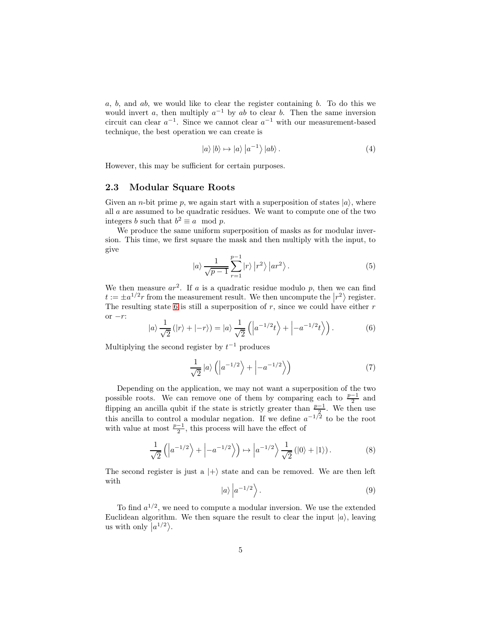$a, b,$  and  $ab$ , we would like to clear the register containing  $b$ . To do this we would invert a, then multiply  $a^{-1}$  by ab to clear b. Then the same inversion circuit can clear  $a^{-1}$ . Since we cannot clear  $a^{-1}$  with our measurement-based technique, the best operation we can create is

$$
|a\rangle|b\rangle \mapsto |a\rangle|a^{-1}\rangle|ab\rangle.
$$
 (4)

However, this may be sufficient for certain purposes.

#### 2.3 Modular Square Roots

Given an *n*-bit prime p, we again start with a superposition of states  $|a\rangle$ , where all a are assumed to be quadratic residues. We want to compute one of the two integers b such that  $b^2 \equiv a \mod p$ .

We produce the same uniform superposition of masks as for modular inversion. This time, we first square the mask and then multiply with the input, to give

$$
|a\rangle \frac{1}{\sqrt{p-1}} \sum_{r=1}^{p-1} |r\rangle |r^2\rangle |ar^2\rangle.
$$
 (5)

We then measure  $ar^2$ . If a is a quadratic residue modulo p, then we can find  $t := \pm a^{1/2} r$  from the measurement result. We then uncompute the  $|r^2\rangle$  register. The resulting state [6](#page-4-0) is still a superposition of  $r$ , since we could have either  $r$ or  $-r$ :

<span id="page-4-0"></span>
$$
|a\rangle \frac{1}{\sqrt{2}} (|r\rangle + |-r\rangle) = |a\rangle \frac{1}{\sqrt{2}} (|a^{-1/2}t\rangle + |-a^{-1/2}t\rangle).
$$
 (6)

Multiplying the second register by  $t^{-1}$  produces

$$
\frac{1}{\sqrt{2}}\left|a\right\rangle \left(\left|a^{-1/2}\right\rangle + \left|-a^{-1/2}\right\rangle\right) \tag{7}
$$

Depending on the application, we may not want a superposition of the two possible roots. We can remove one of them by comparing each to  $\frac{p-1}{2}$  and flipping an ancilla qubit if the state is strictly greater than  $\frac{p-1}{2}$ . We then use this ancilla to control a modular negation. If we define  $a^{-1/2}$  to be the root with value at most  $\frac{p-1}{2}$ , this process will have the effect of

$$
\frac{1}{\sqrt{2}}\left(\left|a^{-1/2}\right\rangle+\left|-a^{-1/2}\right\rangle\right)\mapsto\left|a^{-1/2}\right\rangle\frac{1}{\sqrt{2}}\left(\left|0\right\rangle+\left|1\right\rangle\right).
$$
\n(8)

The second register is just a  $|+\rangle$  state and can be removed. We are then left with

$$
|a\rangle \left| a^{-1/2} \right\rangle. \tag{9}
$$

To find  $a^{1/2}$ , we need to compute a modular inversion. We use the extended Euclidean algorithm. We then square the result to clear the input  $|a\rangle$ , leaving us with only  $|a^{1/2}\rangle$ .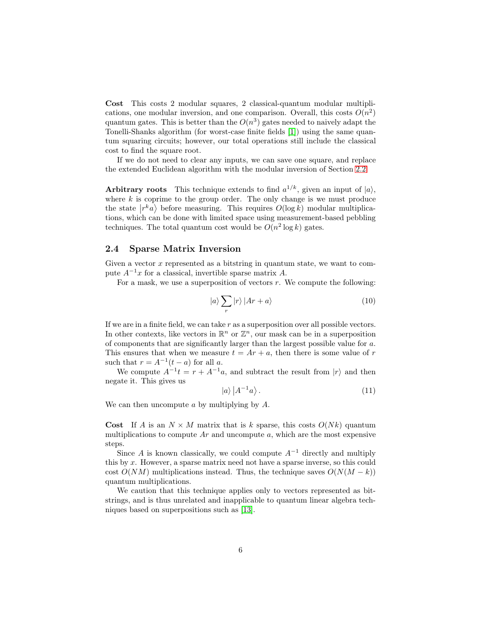Cost This costs 2 modular squares, 2 classical-quantum modular multiplications, one modular inversion, and one comparison. Overall, this costs  $O(n^2)$ quantum gates. This is better than the  $O(n^3)$  gates needed to naively adapt the Tonelli-Shanks algorithm (for worst-case finite fields [\[1\]](#page-8-1)) using the same quantum squaring circuits; however, our total operations still include the classical cost to find the square root.

If we do not need to clear any inputs, we can save one square, and replace the extended Euclidean algorithm with the modular inversion of Section [2.2.](#page-2-1)

Arbitrary roots This technique extends to find  $a^{1/k}$ , given an input of  $|a\rangle$ , where  $k$  is coprime to the group order. The only change is we must produce the state  $|r^k a\rangle$  before measuring. This requires  $O(\log k)$  modular multiplications, which can be done with limited space using measurement-based pebbling techniques. The total quantum cost would be  $O(n^2 \log k)$  gates.

#### 2.4 Sparse Matrix Inversion

Given a vector  $x$  represented as a bitstring in quantum state, we want to compute  $A^{-1}x$  for a classical, invertible sparse matrix A.

For a mask, we use a superposition of vectors r. We compute the following:

$$
|a\rangle \sum_{r} |r\rangle |Ar + a\rangle \tag{10}
$$

If we are in a finite field, we can take  $r$  as a superposition over all possible vectors. In other contexts, like vectors in  $\mathbb{R}^n$  or  $\mathbb{Z}^n$ , our mask can be in a superposition of components that are significantly larger than the largest possible value for a. This ensures that when we measure  $t = Ar + a$ , then there is some value of r such that  $r = A^{-1}(t - a)$  for all a.

We compute  $A^{-1}t = r + A^{-1}a$ , and subtract the result from  $|r\rangle$  and then negate it. This gives us

$$
|a\rangle |A^{-1}a\rangle . \tag{11}
$$

We can then uncompute  $a$  by multiplying by  $A$ .

**Cost** If A is an  $N \times M$  matrix that is k sparse, this costs  $O(Nk)$  quantum multiplications to compute  $Ar$  and uncompute  $a$ , which are the most expensive steps.

Since A is known classically, we could compute  $A^{-1}$  directly and multiply this by  $x$ . However, a sparse matrix need not have a sparse inverse, so this could cost  $O(NM)$  multiplications instead. Thus, the technique saves  $O(N(M - k))$ quantum multiplications.

We caution that this technique applies only to vectors represented as bitstrings, and is thus unrelated and inapplicable to quantum linear algebra techniques based on superpositions such as [\[13\]](#page-9-11).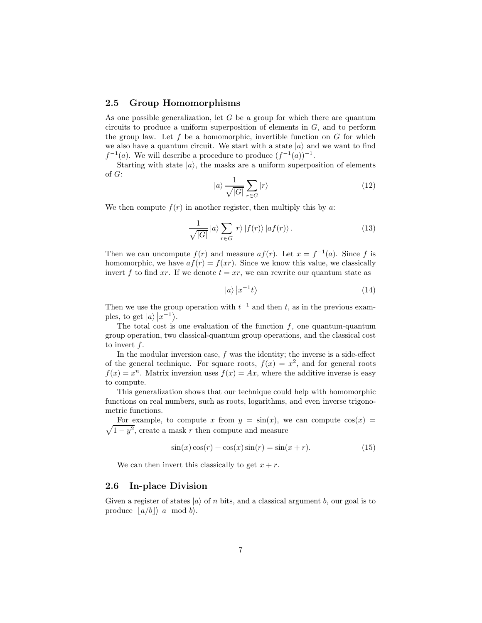#### 2.5 Group Homomorphisms

As one possible generalization, let  $G$  be a group for which there are quantum circuits to produce a uniform superposition of elements in  $G$ , and to perform the group law. Let f be a homomorphic, invertible function on  $G$  for which we also have a quantum circuit. We start with a state  $|a\rangle$  and we want to find  $f^{-1}(a)$ . We will describe a procedure to produce  $(f^{-1}(a))^{-1}$ .

Starting with state  $|a\rangle$ , the masks are a uniform superposition of elements of G:

$$
|a\rangle \frac{1}{\sqrt{|G|}} \sum_{r \in G} |r\rangle \tag{12}
$$

We then compute  $f(r)$  in another register, then multiply this by a:

$$
\frac{1}{\sqrt{|G|}}\left|a\right\rangle \sum_{r\in G}\left|r\right\rangle \left|f(r)\right\rangle \left|af(r)\right\rangle .\tag{13}
$$

Then we can uncompute  $f(r)$  and measure  $af(r)$ . Let  $x = f^{-1}(a)$ . Since f is homomorphic, we have  $af(r) = f(xr)$ . Since we know this value, we classically invert f to find xr. If we denote  $t = xr$ , we can rewrite our quantum state as

$$
|a\rangle |x^{-1}t\rangle \tag{14}
$$

Then we use the group operation with  $t^{-1}$  and then t, as in the previous examples, to get  $|a\rangle |x^{-1}\rangle$ .

The total cost is one evaluation of the function  $f$ , one quantum-quantum group operation, two classical-quantum group operations, and the classical cost to invert f.

In the modular inversion case,  $f$  was the identity; the inverse is a side-effect of the general technique. For square roots,  $f(x) = x^2$ , and for general roots  $f(x) = x^n$ . Matrix inversion uses  $f(x) = Ax$ , where the additive inverse is easy to compute.

This generalization shows that our technique could help with homomorphic functions on real numbers, such as roots, logarithms, and even inverse trigonometric functions.

 $\sqrt{1-y^2}$ , create a mask r then compute and measure For example, to compute x from  $y = sin(x)$ , we can compute  $cos(x) =$ 

$$
\sin(x)\cos(r) + \cos(x)\sin(r) = \sin(x+r). \tag{15}
$$

We can then invert this classically to get  $x + r$ .

#### 2.6 In-place Division

Given a register of states  $|a\rangle$  of n bits, and a classical argument b, our goal is to produce  $||a/b||$  a mod b.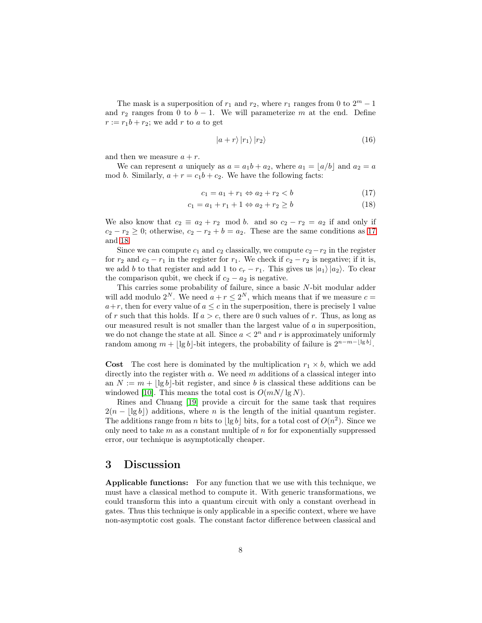The mask is a superposition of  $r_1$  and  $r_2$ , where  $r_1$  ranges from 0 to  $2^m - 1$ and  $r_2$  ranges from 0 to  $b - 1$ . We will parameterize m at the end. Define  $r := r_1b + r_2$ ; we add r to a to get

<span id="page-7-2"></span><span id="page-7-1"></span>
$$
\left|a+r\right\rangle\left|r_{1}\right\rangle\left|r_{2}\right\rangle\tag{16}
$$

and then we measure  $a + r$ .

We can represent a uniquely as  $a = a_1b + a_2$ , where  $a_1 = \lfloor a/b \rfloor$  and  $a_2 = a$ mod b. Similarly,  $a + r = c_1b + c_2$ . We have the following facts:

$$
c_1 = a_1 + r_1 \Leftrightarrow a_2 + r_2 < b \tag{17}
$$

$$
c_1 = a_1 + r_1 + 1 \Leftrightarrow a_2 + r_2 \ge b \tag{18}
$$

We also know that  $c_2 \equiv a_2 + r_2 \mod b$ . and so  $c_2 - r_2 = a_2$  if and only if  $c_2 - r_2 \geq 0$ ; otherwise,  $c_2 - r_2 + b = a_2$ . These are the same conditions as [17](#page-7-1) and [18.](#page-7-2)

Since we can compute  $c_1$  and  $c_2$  classically, we compute  $c_2-r_2$  in the register for  $r_2$  and  $c_2 - r_1$  in the register for  $r_1$ . We check if  $c_2 - r_2$  is negative; if it is, we add b to that register and add 1 to  $c_r - r_1$ . This gives us  $|a_1\rangle |a_2\rangle$ . To clear the comparison qubit, we check if  $c_2 - a_2$  is negative.

This carries some probability of failure, since a basic N-bit modular adder will add modulo  $2^N$ . We need  $a + r \leq 2^N$ , which means that if we measure  $c =$  $a+r$ , then for every value of  $a \leq c$  in the superposition, there is precisely 1 value of r such that this holds. If  $a > c$ , there are 0 such values of r. Thus, as long as our measured result is not smaller than the largest value of  $\alpha$  in superposition, we do not change the state at all. Since  $a < 2<sup>n</sup>$  and r is approximately uniformly random among  $m + \lfloor \lg b \rfloor$ -bit integers, the probability of failure is  $2^{n-m-\lfloor \lg b \rfloor}$ .

**Cost** The cost here is dominated by the multiplication  $r_1 \times b$ , which we add directly into the register with  $a$ . We need  $m$  additions of a classical integer into an  $N := m + |\lg b|$ -bit register, and since b is classical these additions can be windowed [\[10\]](#page-9-6). This means the total cost is  $O(mN/\lg N)$ .

Rines and Chuang [\[19\]](#page-10-6) provide a circuit for the same task that requires  $2(n - |\lg b|)$  additions, where n is the length of the initial quantum register. The additions range from *n* bits to  $\lfloor \lg b \rfloor$  bits, for a total cost of  $O(n^2)$ . Since we only need to take  $m$  as a constant multiple of  $n$  for for exponentially suppressed error, our technique is asymptotically cheaper.

## <span id="page-7-0"></span>3 Discussion

Applicable functions: For any function that we use with this technique, we must have a classical method to compute it. With generic transformations, we could transform this into a quantum circuit with only a constant overhead in gates. Thus this technique is only applicable in a specific context, where we have non-asymptotic cost goals. The constant factor difference between classical and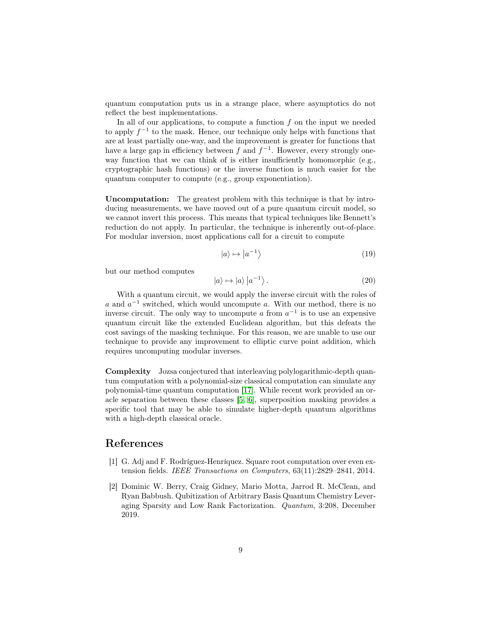quantum computation puts us in a strange place, where asymptotics do not reflect the best implementations.

In all of our applications, to compute a function  $f$  on the input we needed to apply  $f^{-1}$  to the mask. Hence, our technique only helps with functions that are at least partially one-way, and the improvement is greater for functions that have a large gap in efficiency between f and  $f^{-1}$ . However, every strongly oneway function that we can think of is either insufficiently homomorphic (e.g., cryptographic hash functions) or the inverse function is much easier for the quantum computer to compute (e.g., group exponentiation).

Uncomputation: The greatest problem with this technique is that by introducing measurements, we have moved out of a pure quantum circuit model, so we cannot invert this process. This means that typical techniques like Bennett's reduction do not apply. In particular, the technique is inherently out-of-place. For modular inversion, most applications call for a circuit to compute

$$
|a\rangle \mapsto |a^{-1}\rangle \tag{19}
$$

but our method computes

$$
|a\rangle \mapsto |a\rangle \left| a^{-1} \right\rangle. \tag{20}
$$

With a quantum circuit, we would apply the inverse circuit with the roles of a and  $a^{-1}$  switched, which would uncompute a. With our method, there is no inverse circuit. The only way to uncompute a from  $a^{-1}$  is to use an expensive quantum circuit like the extended Euclidean algorithm, but this defeats the cost savings of the masking technique. For this reason, we are unable to use our technique to provide any improvement to elliptic curve point addition, which requires uncomputing modular inverses.

Complexity Jozsa conjectured that interleaving polylogarithmic-depth quantum computation with a polynomial-size classical computation can simulate any polynomial-time quantum computation [\[17\]](#page-10-7). While recent work provided an oracle separation between these classes [\[5,](#page-9-12) [6\]](#page-9-13), superposition masking provides a specific tool that may be able to simulate higher-depth quantum algorithms with a high-depth classical oracle.

### <span id="page-8-1"></span>References

- [1] G. Adj and F. Rodríguez-Henríquez. Square root computation over even extension fields. IEEE Transactions on Computers, 63(11):2829–2841, 2014.
- <span id="page-8-0"></span>[2] Dominic W. Berry, Craig Gidney, Mario Motta, Jarrod R. McClean, and Ryan Babbush. Qubitization of Arbitrary Basis Quantum Chemistry Leveraging Sparsity and Low Rank Factorization. Quantum, 3:208, December 2019.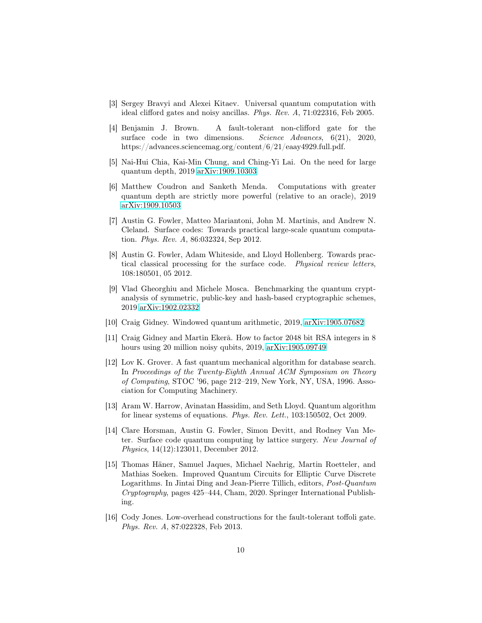- <span id="page-9-10"></span><span id="page-9-9"></span>[3] Sergey Bravyi and Alexei Kitaev. Universal quantum computation with ideal clifford gates and noisy ancillas. Phys. Rev. A, 71:022316, Feb 2005.
- [4] Benjamin J. Brown. A fault-tolerant non-clifford gate for the surface code in two dimensions. Science Advances, 6(21), 2020, https://advances.sciencemag.org/content/6/21/eaay4929.full.pdf.
- <span id="page-9-13"></span><span id="page-9-12"></span>[5] Nai-Hui Chia, Kai-Min Chung, and Ching-Yi Lai. On the need for large quantum depth, 2019 [arXiv:1909.10303](http://arxiv.org/abs/1909.10303)
- [6] Matthew Coudron and Sanketh Menda. Computations with greater quantum depth are strictly more powerful (relative to an oracle), 2019 [arXiv:1909.10503](http://arxiv.org/abs/1909.10503)
- <span id="page-9-1"></span>[7] Austin G. Fowler, Matteo Mariantoni, John M. Martinis, and Andrew N. Cleland. Surface codes: Towards practical large-scale quantum computation. Phys. Rev. A, 86:032324, Sep 2012.
- <span id="page-9-5"></span>[8] Austin G. Fowler, Adam Whiteside, and Lloyd Hollenberg. Towards practical classical processing for the surface code. Physical review letters, 108:180501, 05 2012.
- <span id="page-9-2"></span>[9] Vlad Gheorghiu and Michele Mosca. Benchmarking the quantum cryptanalysis of symmetric, public-key and hash-based cryptographic schemes, 2019 [arXiv:1902.02332](http://arxiv.org/abs/1902.02332)
- <span id="page-9-6"></span><span id="page-9-3"></span>[10] Craig Gidney. Windowed quantum arithmetic, 2019, [arXiv:1905.07682](http://arxiv.org/abs/1905.07682)
- [11] Craig Gidney and Martin Ekerå. How to factor 2048 bit RSA integers in 8 hours using 20 million noisy qubits, 2019, [arXiv:1905.09749](http://arxiv.org/abs/1905.09749)
- <span id="page-9-0"></span>[12] Lov K. Grover. A fast quantum mechanical algorithm for database search. In Proceedings of the Twenty-Eighth Annual ACM Symposium on Theory of Computing, STOC '96, page 212–219, New York, NY, USA, 1996. Association for Computing Machinery.
- <span id="page-9-11"></span>[13] Aram W. Harrow, Avinatan Hassidim, and Seth Lloyd. Quantum algorithm for linear systems of equations. Phys. Rev. Lett., 103:150502, Oct 2009.
- <span id="page-9-4"></span>[14] Clare Horsman, Austin G. Fowler, Simon Devitt, and Rodney Van Meter. Surface code quantum computing by lattice surgery. New Journal of Physics, 14(12):123011, December 2012.
- <span id="page-9-7"></span>[15] Thomas Häner, Samuel Jaques, Michael Naehrig, Martin Roetteler, and Mathias Soeken. Improved Quantum Circuits for Elliptic Curve Discrete Logarithms. In Jintai Ding and Jean-Pierre Tillich, editors, Post-Quantum Cryptography, pages 425–444, Cham, 2020. Springer International Publishing.
- <span id="page-9-8"></span>[16] Cody Jones. Low-overhead constructions for the fault-tolerant toffoli gate. Phys. Rev. A, 87:022328, Feb 2013.